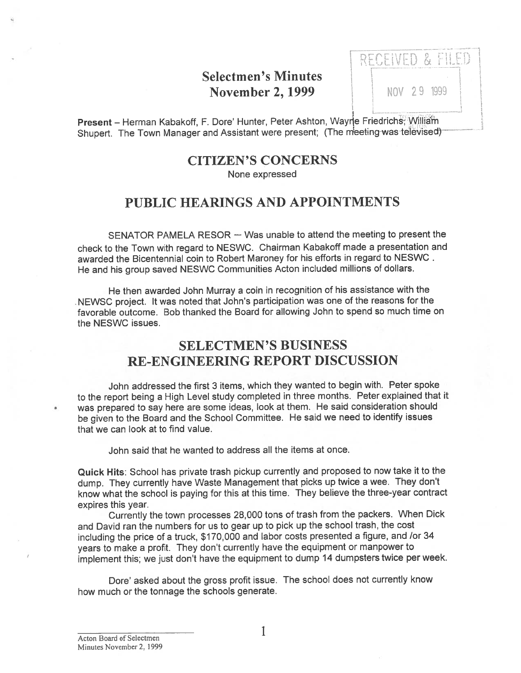## Selectmen's Minutes **November 2, 1999** NOV 29 1999

ntorainn 0 F KEPEBATAN IL

Present – Herman Kabakoff, F. Dore' Hunter, Peter Ashton, Wayne Friedrichs, William Shupert. The Town Manager and Assistant were present; (The meeting-was-televised)

## CITIZEN'S CONCERNS

None expressed

## PUBLIC HEARINGS AND APPOINTMENTS

SENATOR PAMELA RESOR — Was unable to attend the meeting to presen<sup>t</sup> the check to the Town with regar<sup>d</sup> to NESWC. Chairman Kabakoff made <sup>a</sup> presentation and awarded the Bicentennial coin to Robert Maroney for his efforts in regard to NESWC He and his group saved NESWC Communities Acton included millions of dollars.

He then awarded John Murray <sup>a</sup> coin in recognition of his assistance with the NEWSC project. It was noted that John's participation was one of the reasons for the favorable outcome. Bob thanked the Board for allowing John to spend so much time on the NESWC issues.

## SELECTMEN'S BUSINESS RE-ENGINEERING REPORT DISCUSSION

John addressed the first 3 items, which they wanted to begin with. Peter spoke to the repor<sup>t</sup> being <sup>a</sup> High Level study completed in three months. Peter explained that it was prepare<sup>d</sup> to say here are some ideas, look at them. He said consideration should be <sup>g</sup>iven to the Board and the School Committee. He said we need to identify issues that we can look at to find value.

John said that he wanted to address all the items at once.

Quick Hits: School has private trash <sup>p</sup>ickup currently and propose<sup>d</sup> to now take it to the dump. They currently have Waste Management that <sup>p</sup>icks up twice <sup>a</sup> wee. They don't know what the school is paying for this at this time. They believe the three-year contract expires this year.

Currently the town processes 28,000 tons of trash from the packers. When Dick and David ran the numbers for us to gear up to <sup>p</sup>ick up the school trash, the cost including the price of a truck, \$170,000 and labor costs presented a figure, and /or 34 years to make <sup>a</sup> profit. They don't currently have the equipment or manpower to implement this; we just don't have the equipment to dump <sup>14</sup> dumpsters twice per week.

Dore' asked about the gross profit issue. The school does not currently know how much or the tonnage the schools generate.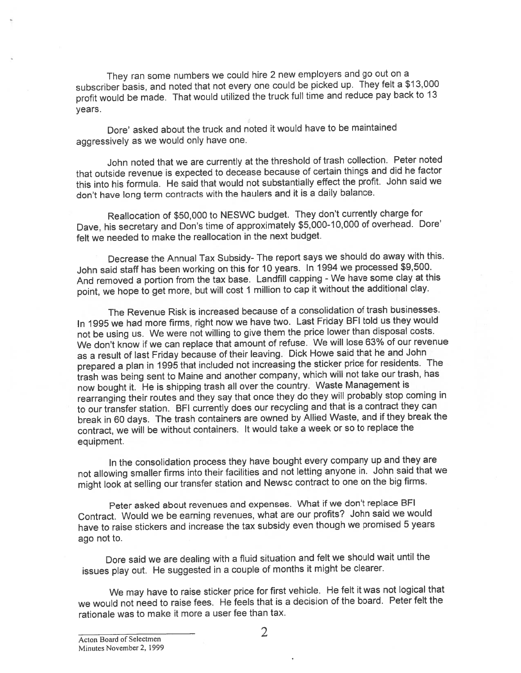They ran some numbers we could hire <sup>2</sup> new employers and go out on <sup>a</sup> subscriber basis, and noted that not every one could be <sup>p</sup>icked up. They felt <sup>a</sup> \$13,000 profit would be made. That would utilized the truck full time and reduce pay back to <sup>13</sup> years.

Dore' asked about the truck and noted it would have to be maintained aggressively as we would only have one.

John noted that we are currently at the threshold of trash collection. Peter noted that outside revenue is expected to decease because of certain things and did he factor this into his formula. He said that would not substantially effect the profit. John said we don't have long term contracts with the haulers and it is <sup>a</sup> daily balance.

Reallocation of \$50,000 to NESWC budget. They don't currently charge for Dave, his secretary and Don's time of approximately \$5,000-10,000 of overhead. Dore' felt we needed to make the reallocation in the next budget.

Decrease the Annual Tax Subsidy- The repor<sup>t</sup> says we should do away with this. John said staff has been working on this for <sup>10</sup> years. In <sup>1994</sup> we processe<sup>d</sup> \$9,500. And removed <sup>a</sup> portion from the tax base. Landfill capping -We have some clay at this point, we hope to ge<sup>t</sup> more, but will cost <sup>1</sup> million to cap it without the additional clay.

The Revenue Risk is increased because of <sup>a</sup> consolidation of trash businesses. In 1995 we had more firms, right now we have two. Last Friday BFI told us they would not be using us. We were not willing to <sup>g</sup>ive them the price lower than disposal costs. We don't know if we can replace that amount of refuse. We will lose 63% of our revenue as <sup>a</sup> result of last Friday because of their leaving. Dick Howe said that he and John prepared <sup>a</sup> <sup>p</sup>lan in <sup>1995</sup> that included not increasing the sticker price for residents. The trash was being sent to Maine and another company, which will not take our trash, has now bought it. He is shipping trash all over the country. Waste Management is rearranging their routes and they say that once they do they will probably stop coming in to our transfer station. BFI currently does our recycling and that is <sup>a</sup> contract they can break in <sup>60</sup> days. The trash containers are owned by Allied Waste, and if they break the contract, we will be without containers. It would take <sup>a</sup> week or so to replace the equipment.

In the consolidation process they have bought every company up and they are not allowing smaller firms into their facilities and not letting anyone in. John said that we might look at selling our transfer station and Newsc contract to one on the big firms.

Peter asked about revenues and expenses. What if we don't replace BFI Contract. Would we be earning revenues, what are our profits? John said we would have to raise stickers and increase the tax subsidy even though we promised <sup>5</sup> years ago not to.

Dore said we are dealing with <sup>a</sup> fluid situation and felt we should wait until the issues <sup>p</sup>lay out. He suggested in <sup>a</sup> couple of months it might be clearer.

We may have to raise sticker price for first vehicle. He felt it was not logical that we would not need to raise fees. He feels that is <sup>a</sup> decision of the board. Peter felt the rationale was to make it more <sup>a</sup> user fee than tax.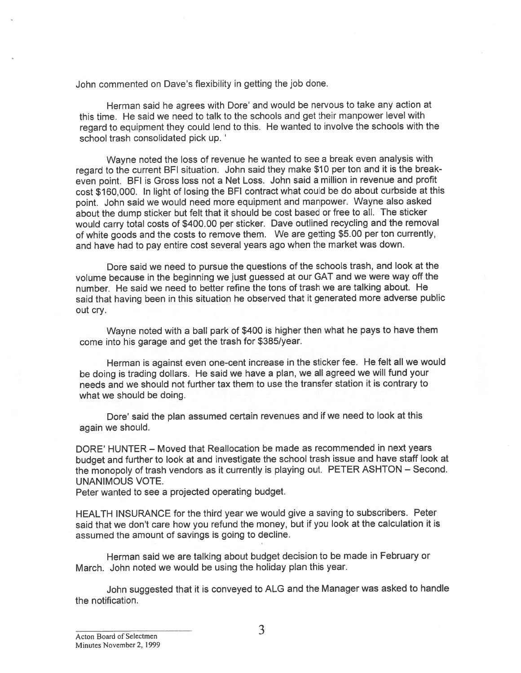John commented on Dave's flexibility in getting the job done.

Herman said he agrees with Dore' and would be nervous to take any action at this time. He said we need to talk to the schools and ge<sup>t</sup> their manpower level with regar<sup>d</sup> to equipment they could lend to this. He wanted to involve the schools with the school trash consolidated pick up. '

Wayne noted the loss of revenue he wanted to see <sup>a</sup> break even analysis with regar<sup>d</sup> to the current BFI situation. John said they make \$10 per ton and it is the breakeven point. BFI is Gross loss not <sup>a</sup> Net Loss. John said <sup>a</sup> million in revenue and profit cost \$160,000. In light of losing the BFI contract what could be do about curbside at this point. John said we would need more equipment and manpower. Wayne also asked about the dump sticker but felt that it should be cost based or free to all. The sticker would carry total costs of \$400.00 per sticker. Dave outlined recycling and the removal of white goods and the costs to remove them. We are getting \$5.00 per ton currently, and have had to pay entire cost several years ago when the market was down.

Dore said we need to pursue the questions of the schools trash, and look at the volume because in the beginning we just guesse<sup>d</sup> at our GAT and we were way off the number. He said we need to better refine the tons of trash we are talking about. He said that having been in this situation he observed that it generated more adverse public out cry.

Wayne noted with <sup>a</sup> ball par<sup>k</sup> of \$400 is higher then what he pays to have them come into his garage and ge<sup>t</sup> the trash for \$385/year.

Herman is against even one-cent increase in the sticker fee. He felt all we would be doing is trading dollars. He said we have <sup>a</sup> <sup>p</sup>lan, we all agree<sup>d</sup> we will fund your needs and we should not further tax them to use the transfer station it is contrary to what we should be doing.

Dore' said the <sup>p</sup>lan assumed certain revenues and if we need to look at this again we should.

DORE' HUNTER — Moved that Reallocation be made as recommended in next years budget and further to look at and investigate the school trash issue and have staff look at the monopoly of trash vendors as it currently is <sup>p</sup>laying out. PETER ASHTON — Second. UNANIMOUS VOTE.

Peter wanted to see <sup>a</sup> projected operating budget.

HEALTH INSURANCE for the third year we would give <sup>a</sup> saving to subscribers. Peter said that we don't care how you refund the money, but if you look at the calculation it is assumed the amount of savings is going to decline.

Herman said we are talking about budget decision to be made in February or March. John noted we would be using the holiday <sup>p</sup>lan this year.

John suggested that it is conveye<sup>d</sup> to ALG and the Manager was asked to handle the notification.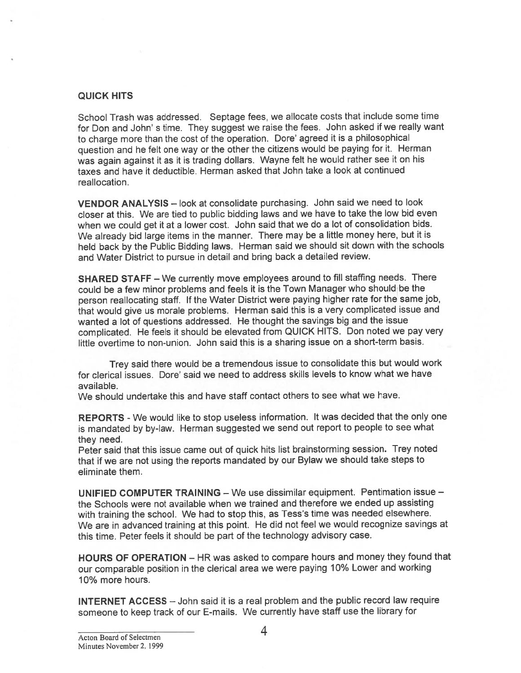#### QUICK HITS

School Trash was addressed. Septage fees, we allocate costs that include some time for Don and John' <sup>s</sup> time. They sugges<sup>t</sup> we raise the fees. John asked if we really want to charge more than the cost of the operation. Dore' agree<sup>d</sup> it is <sup>a</sup> <sup>p</sup>hilosophical question and he felt one way or the other the citizens would be paying for it. Herman was again against it as it is trading dollars. Wayne felt he would rather see it on his taxes and have it deductible. Herman asked that John take <sup>a</sup> look at continued reallocation.

VENDOR ANALYSIS — look at consolidate purchasing. John said we need to look closer at this. We are tied to public bidding laws and we have to take the low bid even when we could ge<sup>t</sup> it at <sup>a</sup> lower cost. John said that we do <sup>a</sup> lot of consolidation bids. We already bid large items in the manner. There may be a little money here, but it is held back by the Public Bidding laws. Herman said we should sit down with the schools and Water District to pursue in detail and bring back <sup>a</sup> detailed review.

SHARED STAFF — We currently move employees around to fill staffing needs. There could be <sup>a</sup> few minor problems and feels it is the Town Manager who should be the person reallocating staff. If the Water District were paying higher rate for the same job, that would <sup>g</sup>ive us morale problems. Herman said this is <sup>a</sup> very complicated issue and wanted <sup>a</sup> lot of questions addressed. He thought the savings big and the issue complicated. He feels it should be elevated from QUICK HITS. Don noted we pay very little overtime to non-union. John said this is <sup>a</sup> sharing issue on <sup>a</sup> short-term basis.

Trey said there would be <sup>a</sup> tremendous issue to consolidate this but would work for clerical issues. Dore' said we need to address skills levels to know what we have available.

We should undertake this and have staff contact others to see what we have.

REPORTS - We would like to stop useless information. It was decided that the only one is mandated by by-law. Herman suggested we send out repor<sup>t</sup> to people to see what they need.

Peter said that this issue came out of quick hits list brainstorming session. Trey noted that if we are not using the reports mandated by our Bylaw we should take steps to eliminate them.

UNIFIED COMPUTER TRAINING — We use dissimilar equipment. Pentimation issue the Schools were not available when we trained and therefore we ended up assisting with training the school. We had to stop this, as Tess's time was needed elsewhere. We are in advanced training at this point. He did not feel we would recognize savings at this time. Peter feels it should be par<sup>t</sup> of the technology advisory case.

HOURS OF OPERATION — HR was asked to compare hours and money they found that our comparable position in the clerical area we were paying 10% Lower and working 10% more hours.

INTERNET ACCESS — John said it is <sup>a</sup> real problem and the public record law require someone to keep track of our E-mails. We currently have staff use the library for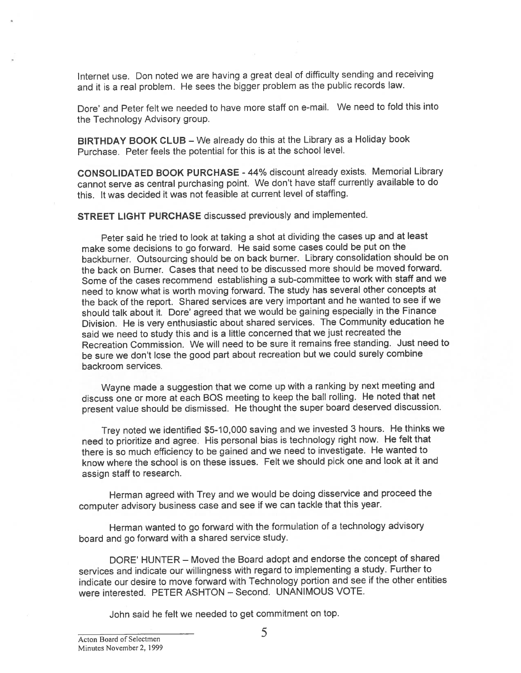Internet use. Don noted we are having <sup>a</sup> grea<sup>t</sup> deal of difficulty sending and receiving and it is <sup>a</sup> real problem. He sees the bigger problem as the public records law.

Dore' and Peter felt we needed to have more staff on e-mail. We need to fold this into the Technology Advisory group.

BIRTHDAY BOOK CLUB — We already do this at the Library as <sup>a</sup> Holiday book Purchase. Peter feels the potential for this is at the school level.

CONSOLIDATED BOOK PURCHASE -44% discount already exists. Memorial Library cannot serve as central purchasing point. We don't have staff currently available to do this. It was decided it was not feasible at current level of staffing.

STREET LIGHT PURCHASE discussed previously and implemented.

Peter said he tried to look at taking <sup>a</sup> shot at dividing the cases up and at least make some decisions to go forward. He said some cases could be pu<sup>t</sup> on the backburner. Outsourcing should be on back burner. Library consolidation should be on the back on Burner. Cases that need to be discussed more should be moved forward. Some of the cases recommend establishing <sup>a</sup> sub-committee to work with staff and we need to know what is worth moving forward. The study has several other concepts at the back of the report. Shared services are very important and he wanted to see if we should talk about it. Dore' agree<sup>d</sup> that we would be gaining especially in the Finance Division. He is very enthusiastic about shared services. The Community education he said we need to study this and is <sup>a</sup> little concerned that we just recreated the Recreation Commission. We will need to be sure it remains free standing. Just need to be sure we don't lose the goo<sup>d</sup> par<sup>t</sup> about recreation but we could surely combine backroom services.

Wayne made <sup>a</sup> suggestion that we come up with <sup>a</sup> ranking by next meeting and discuss one or more at each BOS meeting to keep the ball rolling. He noted that net presen<sup>t</sup> value should be dismissed. He thought the super board deserved discussion.

Trey noted we identified \$5-10,000 saving and we invested 3 hours. He thinks we need to prioritize and agree. His persona<sup>l</sup> bias is technology right now. He felt that there is so much efficiency to be gained and we need to investigate. He wanted to know where the school is on these issues. Felt we should <sup>p</sup>ick one and look at it and assign staff to research.

Herman agree<sup>d</sup> with Trey and we would be doing disservice and procee<sup>d</sup> the computer advisory business case and see if we can tackle that this year.

Herman wanted to go forward with the formulation of <sup>a</sup> technology advisory board and go forward with <sup>a</sup> shared service study.

DORE' HUNTER — Moved the Board adopt and endorse the concep<sup>t</sup> of shared services and indicate our willingness with regar<sup>d</sup> to implementing <sup>a</sup> study. Further to indicate our desire to move forward with Technology portion and see if the other entities were interested. PETER ASHTON — Second. UNANIMOUS VOTE.

John said he felt we needed to ge<sup>t</sup> commitment on top.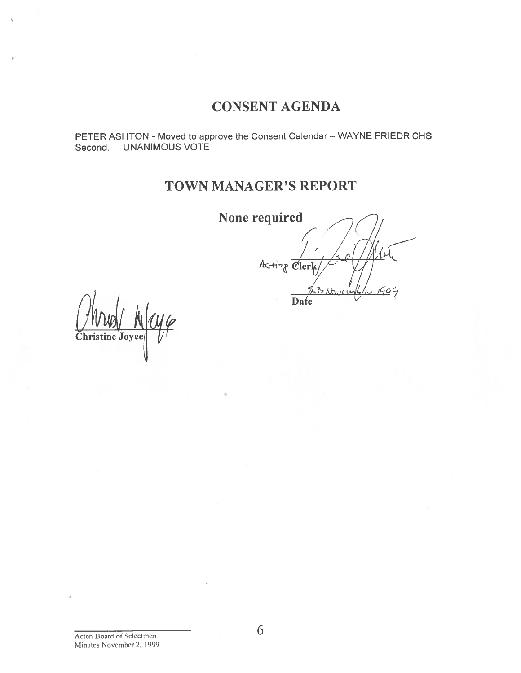## CONSENT AGENDA

PETER ASHTON - Moved to approve the Consent Calendar – WAYNE FRIEDRICHS Second. UNANIMOUS VOTE

# TOWN MANAGER'S REPORT

None required

 $\prime$  /  $\prime$  /  $\prime$ 1  $14$ /  $A \leftarrow$  $\forall$ i $\forall$  $\ell$ erl Date

Christine Joyce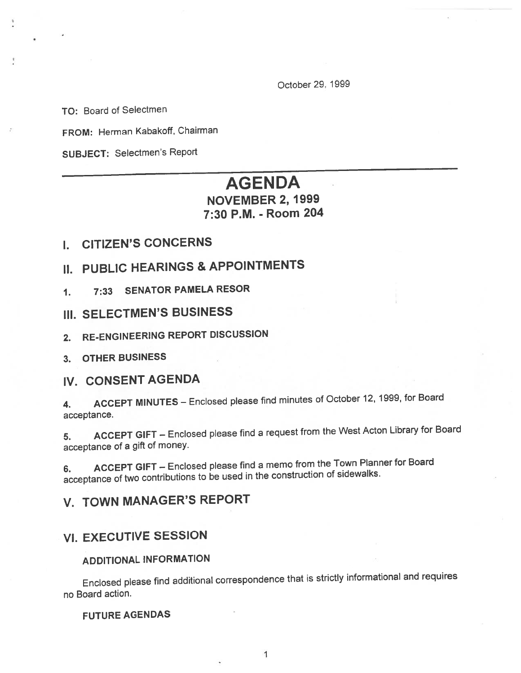October 29, 1999

TO: Board of Selectmen

FROM: Herman Kabakoff, Chairman

SUBJECT: Selectmen's Report

## AGENDA

### NOVEMBER 2, 1999 7:30 P.M. - Room 204

- I. CITIZEN'S CONCERNS
- II. PUBLIC HEARINGS & APPOINTMENTS
- 1. 7:33 SENATOR PAMELA RESOR
- III. SELECTMEN'S BUSINESS
- 2. RE-ENGINEERING REPORT DISCUSSION
- 3. OTHER BUSINESS

### IV. CONSENT AGENDA

4. ACCEPT MINUTES — Enclosed <sup>p</sup>lease find minutes of October 12, 1999, for Board acceptance.

5. ACCEPT GIFT — Enclosed <sup>p</sup>lease find <sup>a</sup> reques<sup>t</sup> from the West Acton Library for Board acceptance of <sup>a</sup> <sup>g</sup>ift of money.

6. ACCEPT GIFT — Enclosed <sup>p</sup>lease find <sup>a</sup> memo from the Town Planner for Board acceptance of two contributions to be used in the construction of sidewalks.

# V. TOWN MANAGER'S REPORT

## VI. EXECUTIVE SESSION

#### ADDITIONAL INFORMATION

Enclosed <sup>p</sup>lease find additional correspondence that is strictly informational and requires no Board action.

### **FUTURE AGENDAS**

1